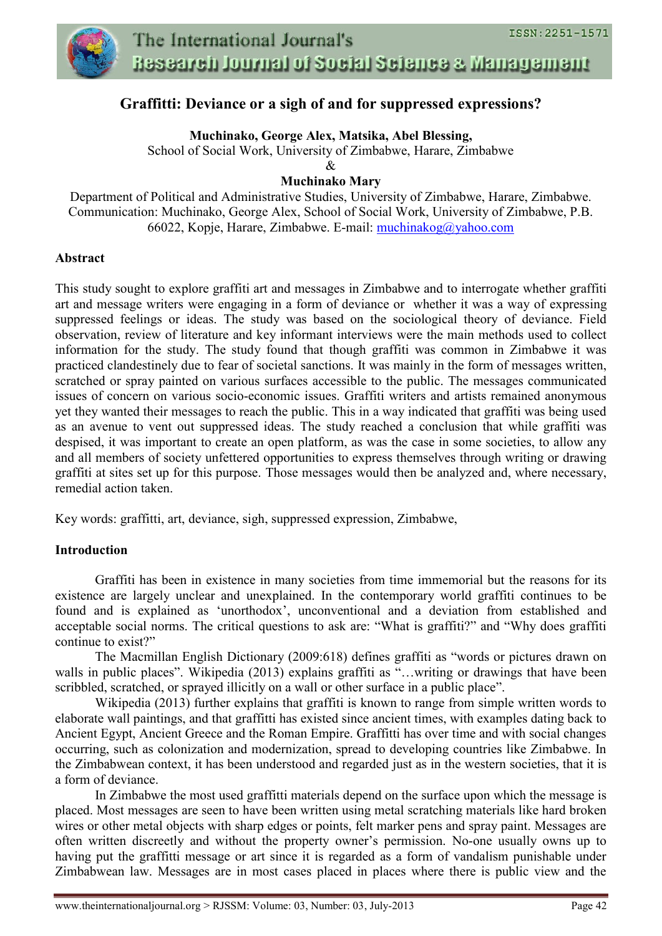

## **Graffitti: Deviance or a sigh of and for suppressed expressions?**

**Muchinako, George Alex, Matsika, Abel Blessing,**

School of Social Work, University of Zimbabwe, Harare, Zimbabwe

 $\mathcal{R}$ 

## **Muchinako Mary**

Department of Political and Administrative Studies, University of Zimbabwe, Harare, Zimbabwe. Communication: Muchinako, George Alex, School of Social Work, University of Zimbabwe, P.B. 66022, Kopje, Harare, Zimbabwe. E-mail: [muchinakog@yahoo.com](mailto:muchinakog@yahoo.com)

#### **Abstract**

This study sought to explore graffiti art and messages in Zimbabwe and to interrogate whether graffiti art and message writers were engaging in a form of deviance or whether it was a way of expressing suppressed feelings or ideas. The study was based on the sociological theory of deviance. Field observation, review of literature and key informant interviews were the main methods used to collect information for the study. The study found that though graffiti was common in Zimbabwe it was practiced clandestinely due to fear of societal sanctions. It was mainly in the form of messages written, scratched or spray painted on various surfaces accessible to the public. The messages communicated issues of concern on various socio-economic issues. Graffiti writers and artists remained anonymous yet they wanted their messages to reach the public. This in a way indicated that graffiti was being used as an avenue to vent out suppressed ideas. The study reached a conclusion that while graffiti was despised, it was important to create an open platform, as was the case in some societies, to allow any and all members of society unfettered opportunities to express themselves through writing or drawing graffiti at sites set up for this purpose. Those messages would then be analyzed and, where necessary, remedial action taken.

Key words: graffitti, art, deviance, sigh, suppressed expression, Zimbabwe,

## **Introduction**

Graffiti has been in existence in many societies from time immemorial but the reasons for its existence are largely unclear and unexplained. In the contemporary world graffiti continues to be found and is explained as 'unorthodox', unconventional and a deviation from established and acceptable social norms. The critical questions to ask are: "What is graffiti?" and "Why does graffiti continue to exist?"

The Macmillan English Dictionary (2009:618) defines graffiti as "words or pictures drawn on walls in public places". Wikipedia (2013) explains graffiti as "...writing or drawings that have been scribbled, scratched, or sprayed illicitly on a wall or other surface in a public place".

Wikipedia (2013) further explains that graffiti is known to range from simple written words to elaborate wall paintings, and that graffitti has existed since ancient times, with examples dating back to Ancient Egypt, [Ancient Greece](http://en.wikipedia.org/wiki/Ancient_Greece) and the [Roman Empire.](http://en.wikipedia.org/wiki/Roman_Empire) Graffitti has over time and with social changes occurring, such as colonization and modernization, spread to developing countries like Zimbabwe. In the Zimbabwean context, it has been understood and regarded just as in the western societies, that it is a form of deviance.

In Zimbabwe the most used graffitti materials depend on the surface upon which the message is placed. Most messages are seen to have been written using metal scratching materials like hard broken wires or other metal objects with sharp edges or points, felt marker pens and spray paint. Messages are often written discreetly and without the property owner's permission. No-one usually owns up to having put the graffitti message or art since it is regarded as a form of vandalism punishable under Zimbabwean law. Messages are in most cases placed in places where there is public view and the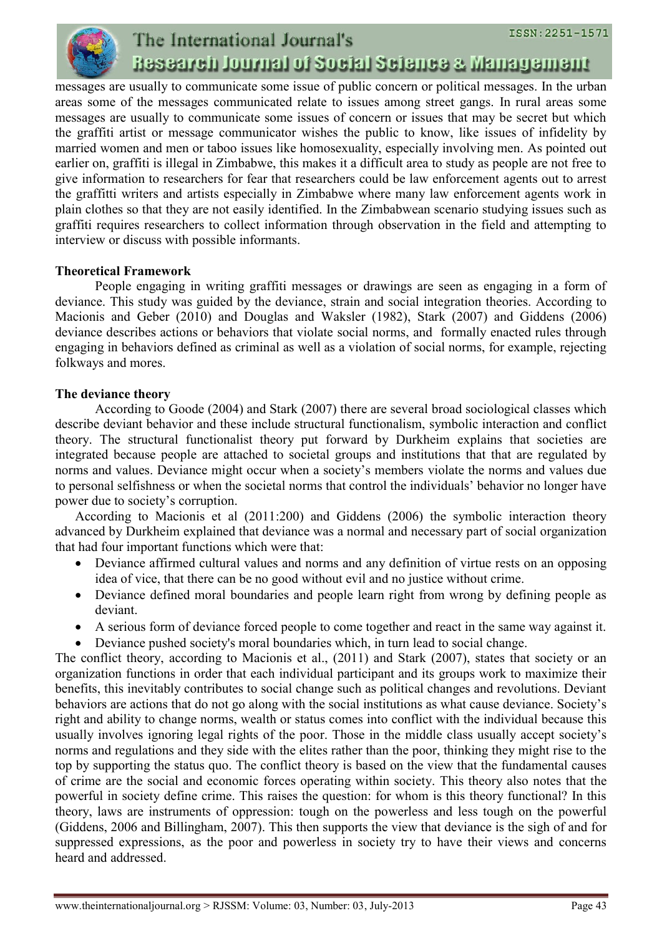

## ISSN: 2251-1571 The International Journal's Research Journal of Social Science & Management

messages are usually to communicate some issue of public concern or political messages. In the urban areas some of the messages communicated relate to issues among street gangs. In rural areas some messages are usually to communicate some issues of concern or issues that may be secret but which the graffiti artist or message communicator wishes the public to know, like issues of infidelity by married women and men or taboo issues like homosexuality, especially involving men. As pointed out earlier on, graffiti is illegal in Zimbabwe, this makes it a difficult area to study as people are not free to give information to researchers for fear that researchers could be law enforcement agents out to arrest the graffitti writers and artists especially in Zimbabwe where many law enforcement agents work in plain clothes so that they are not easily identified. In the Zimbabwean scenario studying issues such as graffiti requires researchers to collect information through observation in the field and attempting to interview or discuss with possible informants.

## **Theoretical Framework**

People engaging in writing graffiti messages or drawings are seen as engaging in a form of deviance. This study was guided by the deviance, strain and social integration theories. According to Macionis and Geber (2010) and Douglas and Waksler (1982), Stark (2007) and Giddens (2006) deviance describes actions or behaviors that violate [social norms,](http://en.wikipedia.org/wiki/Norm_(sociology)) and formally enacted rules through engaging in behaviors defined as [crimi](http://en.wikipedia.org/wiki/Crime)nal as well as a violation of social norms, for example, rejecting [folkways](http://en.wikipedia.org/wiki/Folkways_(sociology)) and [mores.](http://en.wikipedia.org/wiki/Mores)

## **The deviance theory**

According to Goode (2004) and Stark (2007) there are several broad sociological classes which describe deviant behavior and these include structural functionalism, symbolic interaction and conflict theory. The structural functionalist theory put forward by Durkheim explains that societies are integrated because people are attached to societal groups and institutions that that are regulated by norms and values. Deviance might occur when a society's members violate the norms and values due to personal selfishness or when the societal norms that control the individuals' behavior no longer have power due to society's corruption.

According to Macionis et al (2011:200) and Giddens (2006) the symbolic interaction theory advanced by Durkheim explained that deviance was a normal and necessary part of social organization that had four important functions which were that:

- Deviance affirmed cultural values and norms and any definition of virtue rests on an opposing idea of vice, that there can be no good without evil and no justice without crime.
- Deviance defined moral boundaries and people learn right from wrong by defining people as deviant.
- A serious form of deviance forced people to come together and react in the same way against it.
- Deviance pushed society's moral boundaries which, in turn lead to social change.

The conflict theory, according to Macionis et al., (2011) and Stark (2007), states that society or an organization functions in order that each individual participant and its groups work to maximize their benefits, this inevitably contributes to social change such as political changes and revolutions. Deviant behaviors are actions that do not go along with the social institutions as what cause deviance. Society's right and ability to change norms, wealth or status comes into conflict with the individual because this usually involves ignoring legal rights of the poor. Those in the middle class usually accept society's norms and regulations and they side with the elites rather than the poor, thinking they might rise to the top by supporting the status quo. The conflict theory is based on the view that the fundamental causes of crime are the social and economic forces operating within society. This theory also notes that the powerful in society define crime. This raises the question: for whom is this theory functional? In this theory, laws are instruments of oppression: tough on the powerless and less tough on the powerful (Giddens, 2006 and Billingham, 2007). This then supports the view that deviance is the sigh of and for suppressed expressions, as the poor and powerless in society try to have their views and concerns heard and addressed.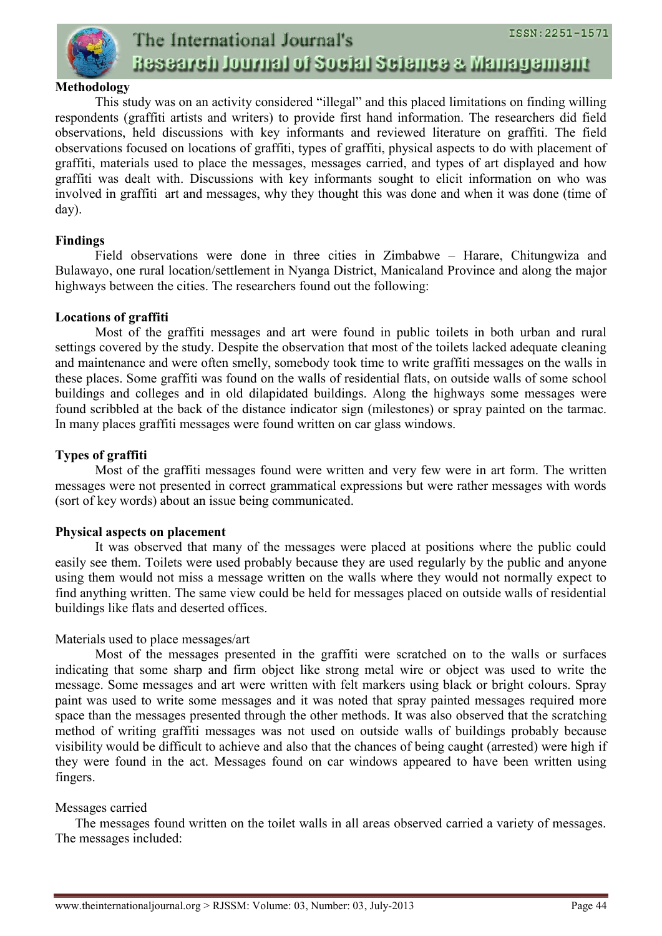

#### **Methodology**

This study was on an activity considered "illegal" and this placed limitations on finding willing respondents (graffiti artists and writers) to provide first hand information. The researchers did field observations, held discussions with key informants and reviewed literature on graffiti. The field observations focused on locations of graffiti, types of graffiti, physical aspects to do with placement of graffiti, materials used to place the messages, messages carried, and types of art displayed and how graffiti was dealt with. Discussions with key informants sought to elicit information on who was involved in graffiti art and messages, why they thought this was done and when it was done (time of day).

#### **Findings**

Field observations were done in three cities in Zimbabwe – Harare, Chitungwiza and Bulawayo, one rural location/settlement in Nyanga District, Manicaland Province and along the major highways between the cities. The researchers found out the following:

#### **Locations of graffiti**

Most of the graffiti messages and art were found in public toilets in both urban and rural settings covered by the study. Despite the observation that most of the toilets lacked adequate cleaning and maintenance and were often smelly, somebody took time to write graffiti messages on the walls in these places. Some graffiti was found on the walls of residential flats, on outside walls of some school buildings and colleges and in old dilapidated buildings. Along the highways some messages were found scribbled at the back of the distance indicator sign (milestones) or spray painted on the tarmac. In many places graffiti messages were found written on car glass windows.

## **Types of graffiti**

Most of the graffiti messages found were written and very few were in art form. The written messages were not presented in correct grammatical expressions but were rather messages with words (sort of key words) about an issue being communicated.

## **Physical aspects on placement**

It was observed that many of the messages were placed at positions where the public could easily see them. Toilets were used probably because they are used regularly by the public and anyone using them would not miss a message written on the walls where they would not normally expect to find anything written. The same view could be held for messages placed on outside walls of residential buildings like flats and deserted offices.

## Materials used to place messages/art

Most of the messages presented in the graffiti were scratched on to the walls or surfaces indicating that some sharp and firm object like strong metal wire or object was used to write the message. Some messages and art were written with felt markers using black or bright colours. Spray paint was used to write some messages and it was noted that spray painted messages required more space than the messages presented through the other methods. It was also observed that the scratching method of writing graffiti messages was not used on outside walls of buildings probably because visibility would be difficult to achieve and also that the chances of being caught (arrested) were high if they were found in the act. Messages found on car windows appeared to have been written using fingers.

#### Messages carried

The messages found written on the toilet walls in all areas observed carried a variety of messages. The messages included: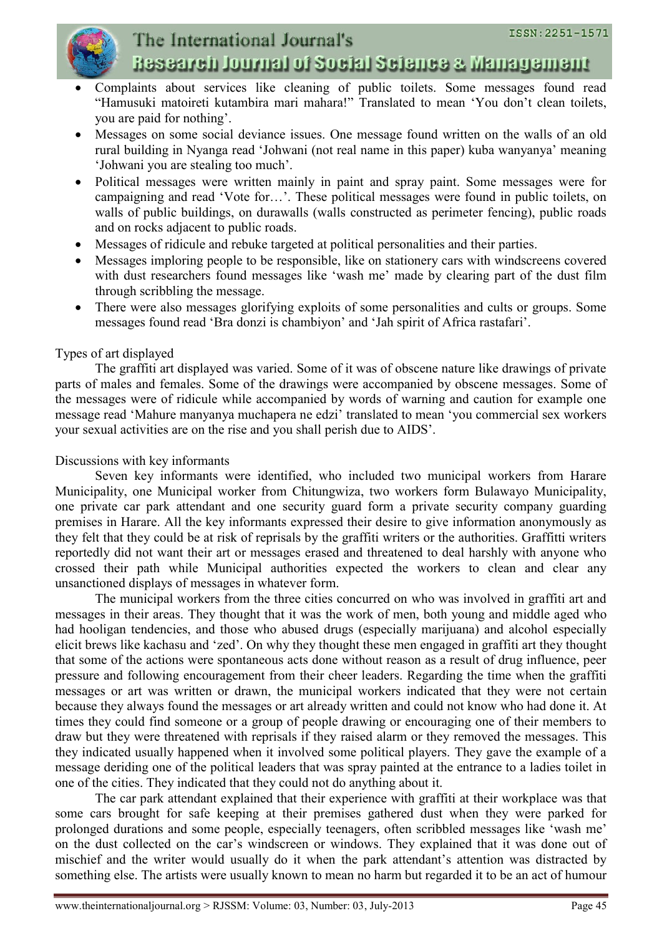

# The International Journal's Research Journal of Social Science & Management

- Complaints about services like cleaning of public toilets. Some messages found read "Hamusuki matoireti kutambira mari mahara!" Translated to mean 'You don't clean toilets, you are paid for nothing'.
- Messages on some social deviance issues. One message found written on the walls of an old rural building in Nyanga read 'Johwani (not real name in this paper) kuba wanyanya' meaning 'Johwani you are stealing too much'.
- Political messages were written mainly in paint and spray paint. Some messages were for campaigning and read 'Vote for…'. These political messages were found in public toilets, on walls of public buildings, on durawalls (walls constructed as perimeter fencing), public roads and on rocks adjacent to public roads.
- Messages of ridicule and rebuke targeted at political personalities and their parties.
- Messages imploring people to be responsible, like on stationery cars with windscreens covered with dust researchers found messages like 'wash me' made by clearing part of the dust film through scribbling the message.
- There were also messages glorifying exploits of some personalities and cults or groups. Some messages found read 'Bra donzi is chambiyon' and 'Jah spirit of Africa rastafari'.

## Types of art displayed

The graffiti art displayed was varied. Some of it was of obscene nature like drawings of private parts of males and females. Some of the drawings were accompanied by obscene messages. Some of the messages were of ridicule while accompanied by words of warning and caution for example one message read 'Mahure manyanya muchapera ne edzi' translated to mean 'you commercial sex workers your sexual activities are on the rise and you shall perish due to AIDS'.

## Discussions with key informants

Seven key informants were identified, who included two municipal workers from Harare Municipality, one Municipal worker from Chitungwiza, two workers form Bulawayo Municipality, one private car park attendant and one security guard form a private security company guarding premises in Harare. All the key informants expressed their desire to give information anonymously as they felt that they could be at risk of reprisals by the graffiti writers or the authorities. Graffitti writers reportedly did not want their art or messages erased and threatened to deal harshly with anyone who crossed their path while Municipal authorities expected the workers to clean and clear any unsanctioned displays of messages in whatever form.

The municipal workers from the three cities concurred on who was involved in graffiti art and messages in their areas. They thought that it was the work of men, both young and middle aged who had hooligan tendencies, and those who abused drugs (especially marijuana) and alcohol especially elicit brews like kachasu and 'zed'. On why they thought these men engaged in graffiti art they thought that some of the actions were spontaneous acts done without reason as a result of drug influence, peer pressure and following encouragement from their cheer leaders. Regarding the time when the graffiti messages or art was written or drawn, the municipal workers indicated that they were not certain because they always found the messages or art already written and could not know who had done it. At times they could find someone or a group of people drawing or encouraging one of their members to draw but they were threatened with reprisals if they raised alarm or they removed the messages. This they indicated usually happened when it involved some political players. They gave the example of a message deriding one of the political leaders that was spray painted at the entrance to a ladies toilet in one of the cities. They indicated that they could not do anything about it.

The car park attendant explained that their experience with graffiti at their workplace was that some cars brought for safe keeping at their premises gathered dust when they were parked for prolonged durations and some people, especially teenagers, often scribbled messages like 'wash me' on the dust collected on the car's windscreen or windows. They explained that it was done out of mischief and the writer would usually do it when the park attendant's attention was distracted by something else. The artists were usually known to mean no harm but regarded it to be an act of humour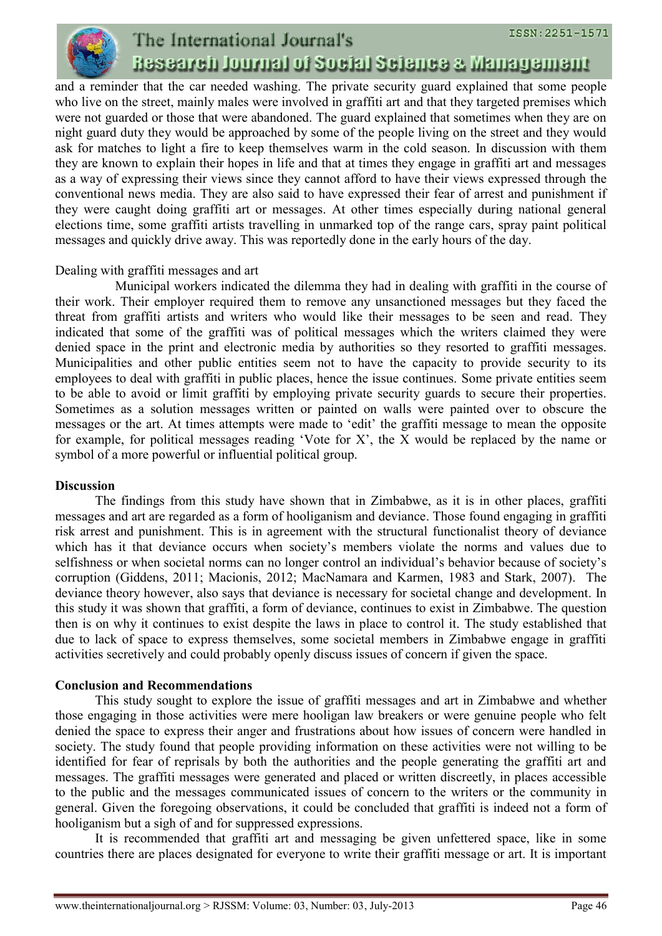

## ISSN: 2251-1571 The International Journal's Research Journal of Social Science & Management

and a reminder that the car needed washing. The private security guard explained that some people who live on the street, mainly males were involved in graffiti art and that they targeted premises which were not guarded or those that were abandoned. The guard explained that sometimes when they are on night guard duty they would be approached by some of the people living on the street and they would ask for matches to light a fire to keep themselves warm in the cold season. In discussion with them they are known to explain their hopes in life and that at times they engage in graffiti art and messages as a way of expressing their views since they cannot afford to have their views expressed through the conventional news media. They are also said to have expressed their fear of arrest and punishment if they were caught doing graffiti art or messages. At other times especially during national general elections time, some graffiti artists travelling in unmarked top of the range cars, spray paint political messages and quickly drive away. This was reportedly done in the early hours of the day.

## Dealing with graffiti messages and art

Municipal workers indicated the dilemma they had in dealing with graffiti in the course of their work. Their employer required them to remove any unsanctioned messages but they faced the threat from graffiti artists and writers who would like their messages to be seen and read. They indicated that some of the graffiti was of political messages which the writers claimed they were denied space in the print and electronic media by authorities so they resorted to graffiti messages. Municipalities and other public entities seem not to have the capacity to provide security to its employees to deal with graffiti in public places, hence the issue continues. Some private entities seem to be able to avoid or limit graffiti by employing private security guards to secure their properties. Sometimes as a solution messages written or painted on walls were painted over to obscure the messages or the art. At times attempts were made to 'edit' the graffiti message to mean the opposite for example, for political messages reading 'Vote for X', the X would be replaced by the name or symbol of a more powerful or influential political group.

## **Discussion**

The findings from this study have shown that in Zimbabwe, as it is in other places, graffiti messages and art are regarded as a form of hooliganism and deviance. Those found engaging in graffiti risk arrest and punishment. This is in agreement with the structural functionalist theory of deviance which has it that deviance occurs when society's members violate the norms and values due to selfishness or when societal norms can no longer control an individual's behavior because of society's corruption (Giddens, 2011; Macionis, 2012; MacNamara and Karmen, 1983 and Stark, 2007). The deviance theory however, also says that deviance is necessary for societal change and development. In this study it was shown that graffiti, a form of deviance, continues to exist in Zimbabwe. The question then is on why it continues to exist despite the laws in place to control it. The study established that due to lack of space to express themselves, some societal members in Zimbabwe engage in graffiti activities secretively and could probably openly discuss issues of concern if given the space.

## **Conclusion and Recommendations**

This study sought to explore the issue of graffiti messages and art in Zimbabwe and whether those engaging in those activities were mere hooligan law breakers or were genuine people who felt denied the space to express their anger and frustrations about how issues of concern were handled in society. The study found that people providing information on these activities were not willing to be identified for fear of reprisals by both the authorities and the people generating the graffiti art and messages. The graffiti messages were generated and placed or written discreetly, in places accessible to the public and the messages communicated issues of concern to the writers or the community in general. Given the foregoing observations, it could be concluded that graffiti is indeed not a form of hooliganism but a sigh of and for suppressed expressions.

It is recommended that graffiti art and messaging be given unfettered space, like in some countries there are places designated for everyone to write their graffiti message or art. It is important